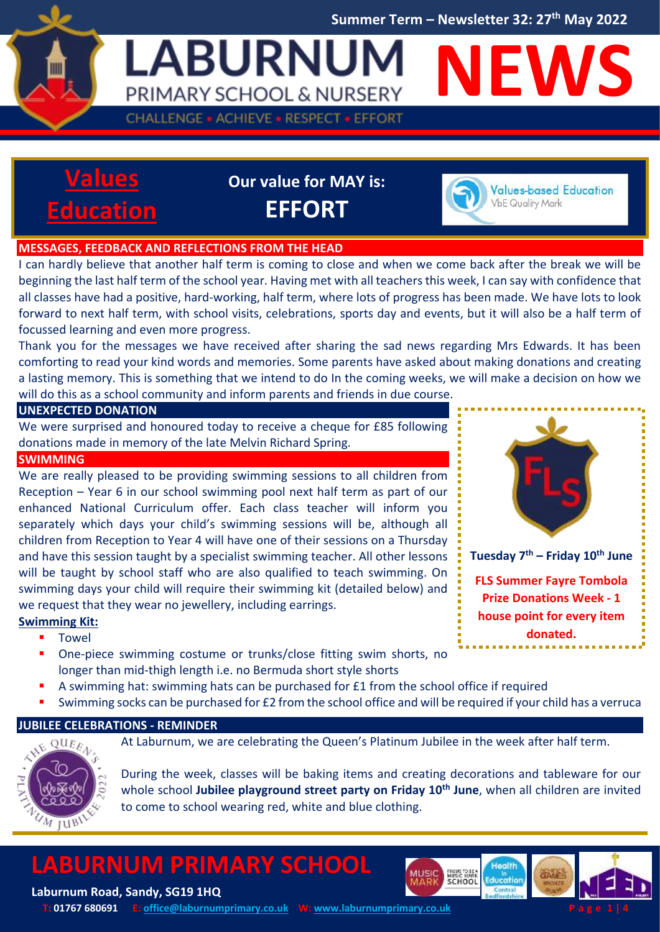**Summer Term – Newsletter 32: 27 th May 2022**

**LABURNUM NEWS** PRIMARY SCHOOL & NURSERY **CHALLENGE · ACHIEVE · RESPECT · EFFORT** 



**Our value for MAY is: EFFORT**



**Values-based Education VbE Quality Mark** 

#### **MESSAGES, FEEDBACK AND REFLECTIONS FROM THE HEAD**

22

I can hardly believe that another half term is coming to close and when we come back after the break we will be beginning the last half term of the school year. Having met with all teachers this week, I can say with confidence that all classes have had a positive, hard-working, half term, where lots of progress has been made. We have lots to look forward to next half term, with school visits, celebrations, sports day and events, but it will also be a half term of focussed learning and even more progress.

Thank you for the messages we have received after sharing the sad news regarding Mrs Edwards. It has been comforting to read your kind words and memories. Some parents have asked about making donations and creating a lasting memory. This is something that we intend to do In the coming weeks, we will make a decision on how we will do this as a school community and inform parents and friends in due course.

#### **UNEXPECTED DONATION**

We were surprised and honoured today to receive a cheque for £85 following donations made in memory of the late Melvin Richard Spring.

#### **SWIMMING**

We are really pleased to be providing swimming sessions to all children from Reception – Year 6 in our school swimming pool next half term as part of our enhanced National Curriculum offer. Each class teacher will inform you separately which days your child's swimming sessions will be, although all children from Reception to Year 4 will have one of their sessions on a Thursday and have this session taught by a specialist swimming teacher. All other lessons will be taught by school staff who are also qualified to teach swimming. On swimming days your child will require their swimming kit (detailed below) and we request that they wear no jewellery, including earrings.



**FLS Summer Fayre Tombola Prize Donations Week - 1 house point for every item donated.**

#### **Swimming Kit:**

- Towel
- **•** One-piece swimming costume or trunks/close fitting swim shorts, no longer than mid-thigh length i.e. no Bermuda short style shorts
- A swimming hat: swimming hats can be purchased for £1 from the school office if required
- Swimming socks can be purchased for £2 from the school office and will be required if your child has a verruca

#### **JUBILEE CELEBRATIONS - REMINDER**



At Laburnum, we are celebrating the Queen's Platinum Jubilee in the week after half term.

During the week, classes will be baking items and creating decorations and tableware for our whole school **Jubilee playground street party on Friday 10th June**, when all children are invited to come to school wearing red, white and blue clothing.

### **LABURNUM PRIMARY SCHOOL**





**Laburnum Road, Sandy, SG19 1HQ T:** 01767 680691 **E**[: office@laburnumprimary.co.uk](mailto:office@laburnumprimary.co.uk) **W**[: www.laburnumprimary.co.uk](http://www.laburnumprimary.co.uk/)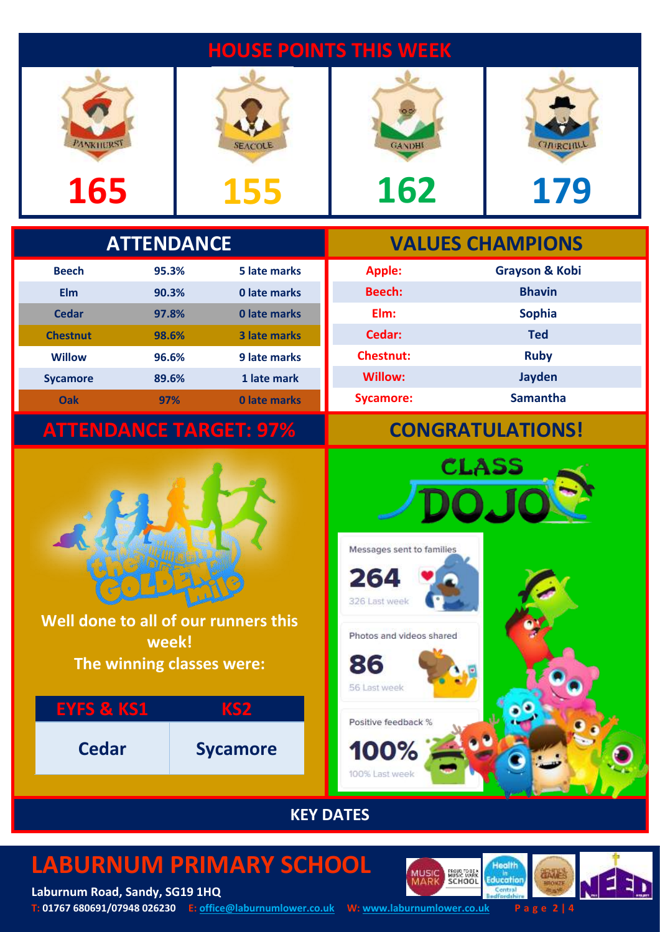### **HOUSE POINTS THIS WEEK**





**Apple: Grayson & Kobi**

**CLASS** 

**Beech: Bhavin Elm: Sophia Cedar: Ted**

**Chestnut: Ruby Willow: Jayden Sycamore: Samantha**



# **165 155 162 179**

### **ATTENDANCE VALUES CHAMPIONS**

| <b>Beech</b>    | 95.3% | 5 late marks        |
|-----------------|-------|---------------------|
| Elm             | 90.3% | 0 late marks        |
| Cedar           | 97.8% | 0 late marks        |
| <b>Chestnut</b> | 98.6% | <b>3 late marks</b> |
| <b>Willow</b>   | 96.6% | 9 late marks        |
| <b>Sycamore</b> | 89.6% | 1 late mark         |
| Oak             | 97%   | 0 late marks        |

## **ATTENDANCE TARGET: 97% CONGRATULATIONS!**



**Well done to all of our runners this week! The winning classes were:**

# **EYFS & KS1 KS2 Cedar Sycamore**



Messages sent to families

Photos and videos shared

264

326 Last week

#### **KEY DATES**

## **LABURNUM PRIMARY SCHOOL**

**Laburnum Road, Sandy, SG19 1HQ T: 01767 680691/07948 026230 E: [office@laburnumlower.co.uk](mailto:office@laburnumlower.co.uk) W: [www.laburnumlower.co.uk](http://www.laburnumlower.co.uk/) P a g e 2 | 4**

PROUG TO BEA<br>MUSIC MARK<br>SCHOOL

Health

**Education** Centra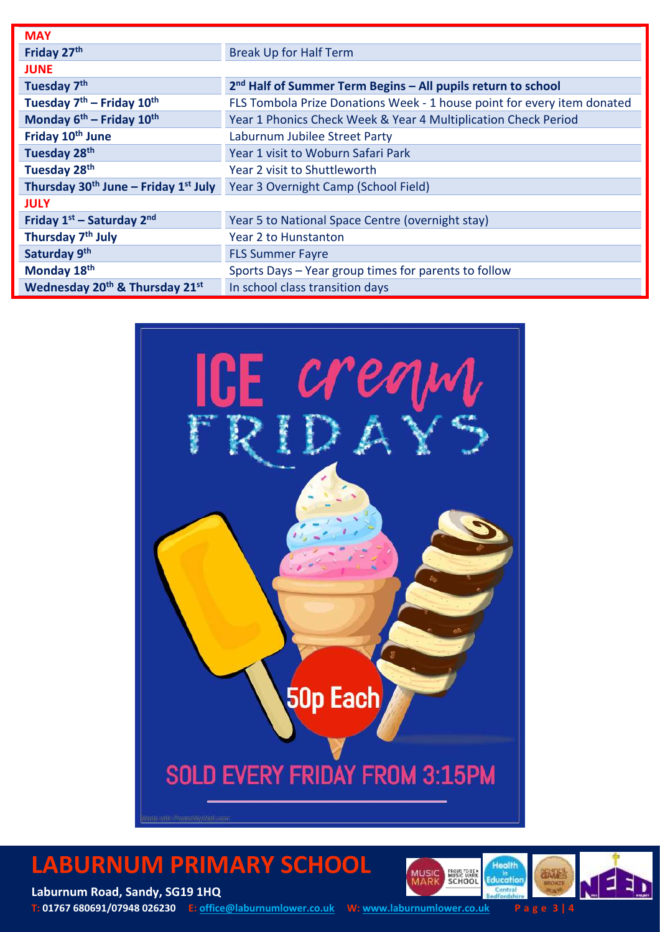| <b>MAY</b>                                             |                                                                          |  |
|--------------------------------------------------------|--------------------------------------------------------------------------|--|
| Friday 27th                                            | <b>Break Up for Half Term</b>                                            |  |
| <b>JUNE</b>                                            |                                                                          |  |
| Tuesday 7 <sup>th</sup>                                | 2 <sup>nd</sup> Half of Summer Term Begins – All pupils return to school |  |
| Tuesday $7th$ – Friday $10th$                          | FLS Tombola Prize Donations Week - 1 house point for every item donated  |  |
| Monday $6^{th}$ – Friday $10^{th}$                     | Year 1 Phonics Check Week & Year 4 Multiplication Check Period           |  |
| Friday 10 <sup>th</sup> June                           | Laburnum Jubilee Street Party                                            |  |
| Tuesday 28th                                           | Year 1 visit to Woburn Safari Park                                       |  |
| Tuesday 28 <sup>th</sup>                               | Year 2 visit to Shuttleworth                                             |  |
| Thursday $30th$ June – Friday $1st$ July               | Year 3 Overnight Camp (School Field)                                     |  |
| <b>JULY</b>                                            |                                                                          |  |
| Friday $1st$ – Saturday $2nd$                          | Year 5 to National Space Centre (overnight stay)                         |  |
| Thursday 7 <sup>th</sup> July                          | <b>Year 2 to Hunstanton</b>                                              |  |
| Saturday 9th                                           | <b>FLS Summer Fayre</b>                                                  |  |
| Monday 18th                                            | Sports Days - Year group times for parents to follow                     |  |
| Wednesday 20 <sup>th</sup> & Thursday 21 <sup>st</sup> | In school class transition days                                          |  |



### **LABURNUM PRIMARY SCHOOL**





Т

**Laburnum Road, Sandy, SG19 1HQ T: 01767 680691/07948 026230 E: [office@laburnumlower.co.uk](mailto:office@laburnumlower.co.uk) W: [www.laburnumlower.co.uk](http://www.laburnumlower.co.uk/) P a g e 3 | 4**